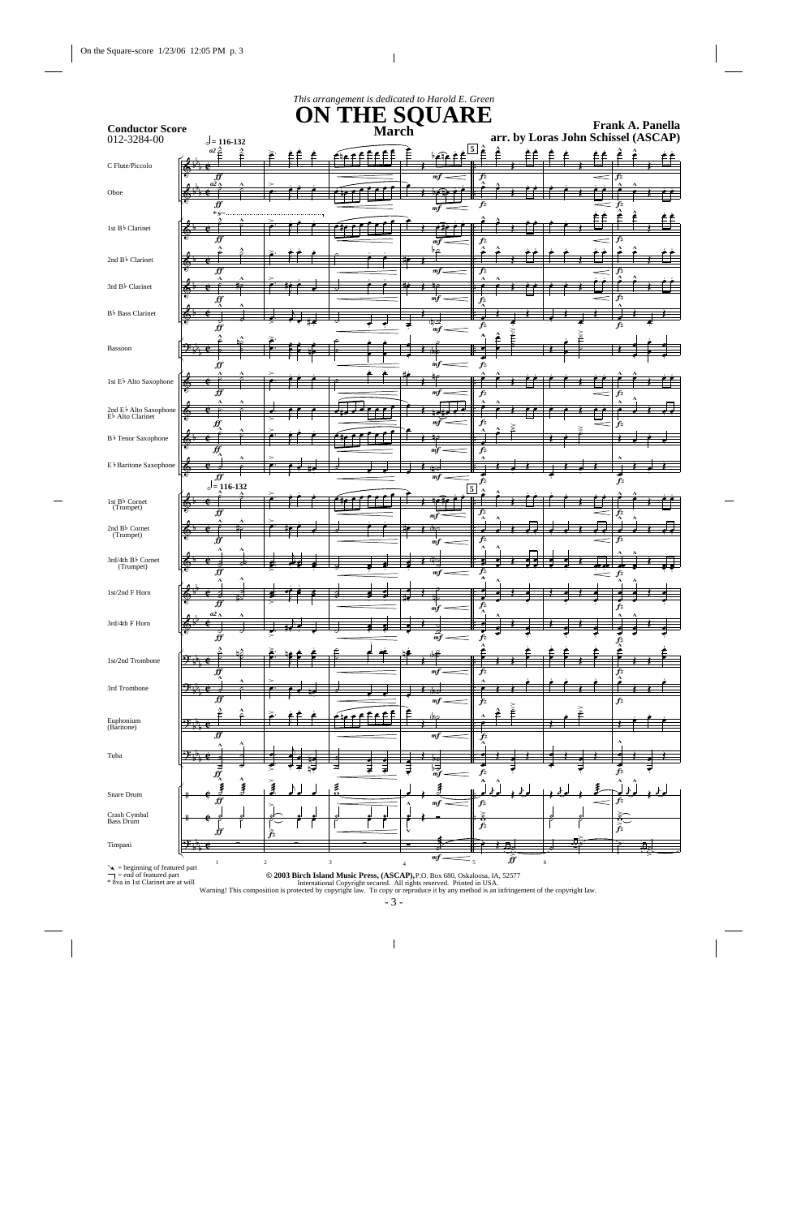| <b>ON THE SQUARE</b><br>Frank A. Panella<br><b>Conductor Score</b><br>arr. by Loras John Schissel (ASCAP)<br>012-3284-00<br>$e = 116 - 132$<br>$a2\frac{\Lambda}{\mathcal{L}}$<br>5<br>C Flute/Piccolo<br>f f<br>f <sub>z</sub><br>f <sub>z</sub><br>$m f$ .<br>$\overline{f}$<br>f <sub>z</sub><br>mf<br>$*_{S^n}$<br>1st B <sub>b</sub> Clarinet<br>$\overline{f}$<br>f <sub>z</sub><br>f <sub>z</sub><br>mf<br>be<br>2nd B <sub>b</sub> Clarinet<br>$\overline{\boldsymbol{\mathcal{F}}}$<br>f <sub>z</sub><br>$\overline{f}$<br>mf<br>٨<br>$\boldsymbol{\Lambda}$<br>3rd B <sub>b</sub> Clarinet<br>f <sub>z</sub><br>m f<br>ff<br>f <sub>z</sub><br>Ă<br>B <sub>b</sub> Bass Clarinet<br>Ģ<br>向す<br>$f_z$<br>fz<br>$\hat{f}$<br>mf<br>Bassoon<br>あ<br>$\dot{\boldsymbol{\mathit{ff}}}$<br>f <sub>z</sub><br>mf<br>6<br>$\overline{\boldsymbol{\mathit{ff}}}$<br>m f<br>f <sub>z</sub><br>fz<br>۸<br>$2$ nd E $\flat$ Alto Saxophone E $\flat$ Alto Clarinet<br>$\Phi$<br>Ĥ<br>fz<br>m1<br>fz<br>$\mathbf{B}\,\flat$ Tenor Saxophone<br>$\blacklozenge$<br>$\overline{\boldsymbol{\mathit{ff}}}$<br>f <sub>z</sub><br>mf<br>$E^{\frac{1}{2}}$ Baritone Saxophone<br>तीड<br>$\overline{f}$<br>m f<br>fz<br>fz<br>$\sigma = 116-132$<br>5<br>$1st\ B\flat$ Cornet (Trumpet)<br>•<br>$\overline{\boldsymbol{f\!f}}$<br>$f_{\rm z}$<br>fz<br>mf<br>$2nd \; B^{\dagger}$ Cornet (Trumpet)<br>कोट<br>−<br>IJ<br>Jz<br>$J^z$<br>m<br>л<br>$3rd/4th\,B\,\flat$ Cornet (Trumpet)<br>(‡) 2<br>$\blacklozenge$<br>$\overline{f}$<br>f <sub>z</sub><br>m f<br>$f_z$<br>$\equiv$<br>$\boldsymbol{\wedge}$<br>$\overline{f}$<br>fz<br>fz<br>mJ<br>$a2 \wedge$<br>6<br>$\hat{f}$<br>fz<br>mf<br>幅<br>•): ⊅<br>1st/2nd Trombone<br>,ff<br>f <sub>z</sub><br>mf<br>fz<br>$\mathfrak{P}_{\mathfrak{p}_{\mathbf{b}}}$<br>3rd Trombone<br>केड<br>$\overline{\boldsymbol{f\!f}}$<br>$\boldsymbol{f}$ z<br>mf<br>f <sub>z</sub><br>$\geq$<br>(b)c<br>$\mathcal{P}_\mathbb{H}$<br>$\overline{f\hspace{-0.1cm}f\hspace{-0.1cm}f}$<br>mf<br>f <sub>z</sub><br>চিত<br>डू<br>ग्री<br>トラ<br>fz<br>fz<br>m <sub>1</sub><br>ŧ<br>≶<br>$\overline{f}$<br>.fz<br>mf<br>fz<br>ô<br>0,<br>f <sub>z</sub><br>$\overrightarrow{f_z}$<br>Ĵf<br>v<br>$\widehat{\overline{f}}$ z<br>・ゾーサ<br>Ħ<br>mf<br>$\widehat{\boldsymbol{f\!f}}$<br>$\sqrt{2}$<br>$\sqrt{3}$<br>5<br>$\sqrt{6}$<br>1<br>$\overline{4}$<br>$\searrow$ = beginning of featured part | This arrangement is dedicated to Harold E. Green |  |  |  |  |  |  |  |  |  |  |
|--------------------------------------------------------------------------------------------------------------------------------------------------------------------------------------------------------------------------------------------------------------------------------------------------------------------------------------------------------------------------------------------------------------------------------------------------------------------------------------------------------------------------------------------------------------------------------------------------------------------------------------------------------------------------------------------------------------------------------------------------------------------------------------------------------------------------------------------------------------------------------------------------------------------------------------------------------------------------------------------------------------------------------------------------------------------------------------------------------------------------------------------------------------------------------------------------------------------------------------------------------------------------------------------------------------------------------------------------------------------------------------------------------------------------------------------------------------------------------------------------------------------------------------------------------------------------------------------------------------------------------------------------------------------------------------------------------------------------------------------------------------------------------------------------------------------------------------------------------------------------------------------------------------------------------------------------------------------------------------------------------------------------------------------------------------------------------------------------------------------------------------------------------------------------------------------------------------------------------------------------------------------------------------------------------------------------------------------------------------------------------------------------------------------|--------------------------------------------------|--|--|--|--|--|--|--|--|--|--|
|                                                                                                                                                                                                                                                                                                                                                                                                                                                                                                                                                                                                                                                                                                                                                                                                                                                                                                                                                                                                                                                                                                                                                                                                                                                                                                                                                                                                                                                                                                                                                                                                                                                                                                                                                                                                                                                                                                                                                                                                                                                                                                                                                                                                                                                                                                                                                                                                                    |                                                  |  |  |  |  |  |  |  |  |  |  |
|                                                                                                                                                                                                                                                                                                                                                                                                                                                                                                                                                                                                                                                                                                                                                                                                                                                                                                                                                                                                                                                                                                                                                                                                                                                                                                                                                                                                                                                                                                                                                                                                                                                                                                                                                                                                                                                                                                                                                                                                                                                                                                                                                                                                                                                                                                                                                                                                                    |                                                  |  |  |  |  |  |  |  |  |  |  |
|                                                                                                                                                                                                                                                                                                                                                                                                                                                                                                                                                                                                                                                                                                                                                                                                                                                                                                                                                                                                                                                                                                                                                                                                                                                                                                                                                                                                                                                                                                                                                                                                                                                                                                                                                                                                                                                                                                                                                                                                                                                                                                                                                                                                                                                                                                                                                                                                                    |                                                  |  |  |  |  |  |  |  |  |  |  |
|                                                                                                                                                                                                                                                                                                                                                                                                                                                                                                                                                                                                                                                                                                                                                                                                                                                                                                                                                                                                                                                                                                                                                                                                                                                                                                                                                                                                                                                                                                                                                                                                                                                                                                                                                                                                                                                                                                                                                                                                                                                                                                                                                                                                                                                                                                                                                                                                                    |                                                  |  |  |  |  |  |  |  |  |  |  |
|                                                                                                                                                                                                                                                                                                                                                                                                                                                                                                                                                                                                                                                                                                                                                                                                                                                                                                                                                                                                                                                                                                                                                                                                                                                                                                                                                                                                                                                                                                                                                                                                                                                                                                                                                                                                                                                                                                                                                                                                                                                                                                                                                                                                                                                                                                                                                                                                                    |                                                  |  |  |  |  |  |  |  |  |  |  |
|                                                                                                                                                                                                                                                                                                                                                                                                                                                                                                                                                                                                                                                                                                                                                                                                                                                                                                                                                                                                                                                                                                                                                                                                                                                                                                                                                                                                                                                                                                                                                                                                                                                                                                                                                                                                                                                                                                                                                                                                                                                                                                                                                                                                                                                                                                                                                                                                                    | Oboe                                             |  |  |  |  |  |  |  |  |  |  |
|                                                                                                                                                                                                                                                                                                                                                                                                                                                                                                                                                                                                                                                                                                                                                                                                                                                                                                                                                                                                                                                                                                                                                                                                                                                                                                                                                                                                                                                                                                                                                                                                                                                                                                                                                                                                                                                                                                                                                                                                                                                                                                                                                                                                                                                                                                                                                                                                                    |                                                  |  |  |  |  |  |  |  |  |  |  |
|                                                                                                                                                                                                                                                                                                                                                                                                                                                                                                                                                                                                                                                                                                                                                                                                                                                                                                                                                                                                                                                                                                                                                                                                                                                                                                                                                                                                                                                                                                                                                                                                                                                                                                                                                                                                                                                                                                                                                                                                                                                                                                                                                                                                                                                                                                                                                                                                                    |                                                  |  |  |  |  |  |  |  |  |  |  |
|                                                                                                                                                                                                                                                                                                                                                                                                                                                                                                                                                                                                                                                                                                                                                                                                                                                                                                                                                                                                                                                                                                                                                                                                                                                                                                                                                                                                                                                                                                                                                                                                                                                                                                                                                                                                                                                                                                                                                                                                                                                                                                                                                                                                                                                                                                                                                                                                                    |                                                  |  |  |  |  |  |  |  |  |  |  |
|                                                                                                                                                                                                                                                                                                                                                                                                                                                                                                                                                                                                                                                                                                                                                                                                                                                                                                                                                                                                                                                                                                                                                                                                                                                                                                                                                                                                                                                                                                                                                                                                                                                                                                                                                                                                                                                                                                                                                                                                                                                                                                                                                                                                                                                                                                                                                                                                                    |                                                  |  |  |  |  |  |  |  |  |  |  |
|                                                                                                                                                                                                                                                                                                                                                                                                                                                                                                                                                                                                                                                                                                                                                                                                                                                                                                                                                                                                                                                                                                                                                                                                                                                                                                                                                                                                                                                                                                                                                                                                                                                                                                                                                                                                                                                                                                                                                                                                                                                                                                                                                                                                                                                                                                                                                                                                                    |                                                  |  |  |  |  |  |  |  |  |  |  |
|                                                                                                                                                                                                                                                                                                                                                                                                                                                                                                                                                                                                                                                                                                                                                                                                                                                                                                                                                                                                                                                                                                                                                                                                                                                                                                                                                                                                                                                                                                                                                                                                                                                                                                                                                                                                                                                                                                                                                                                                                                                                                                                                                                                                                                                                                                                                                                                                                    |                                                  |  |  |  |  |  |  |  |  |  |  |
|                                                                                                                                                                                                                                                                                                                                                                                                                                                                                                                                                                                                                                                                                                                                                                                                                                                                                                                                                                                                                                                                                                                                                                                                                                                                                                                                                                                                                                                                                                                                                                                                                                                                                                                                                                                                                                                                                                                                                                                                                                                                                                                                                                                                                                                                                                                                                                                                                    |                                                  |  |  |  |  |  |  |  |  |  |  |
|                                                                                                                                                                                                                                                                                                                                                                                                                                                                                                                                                                                                                                                                                                                                                                                                                                                                                                                                                                                                                                                                                                                                                                                                                                                                                                                                                                                                                                                                                                                                                                                                                                                                                                                                                                                                                                                                                                                                                                                                                                                                                                                                                                                                                                                                                                                                                                                                                    |                                                  |  |  |  |  |  |  |  |  |  |  |
|                                                                                                                                                                                                                                                                                                                                                                                                                                                                                                                                                                                                                                                                                                                                                                                                                                                                                                                                                                                                                                                                                                                                                                                                                                                                                                                                                                                                                                                                                                                                                                                                                                                                                                                                                                                                                                                                                                                                                                                                                                                                                                                                                                                                                                                                                                                                                                                                                    |                                                  |  |  |  |  |  |  |  |  |  |  |
|                                                                                                                                                                                                                                                                                                                                                                                                                                                                                                                                                                                                                                                                                                                                                                                                                                                                                                                                                                                                                                                                                                                                                                                                                                                                                                                                                                                                                                                                                                                                                                                                                                                                                                                                                                                                                                                                                                                                                                                                                                                                                                                                                                                                                                                                                                                                                                                                                    |                                                  |  |  |  |  |  |  |  |  |  |  |
|                                                                                                                                                                                                                                                                                                                                                                                                                                                                                                                                                                                                                                                                                                                                                                                                                                                                                                                                                                                                                                                                                                                                                                                                                                                                                                                                                                                                                                                                                                                                                                                                                                                                                                                                                                                                                                                                                                                                                                                                                                                                                                                                                                                                                                                                                                                                                                                                                    |                                                  |  |  |  |  |  |  |  |  |  |  |
|                                                                                                                                                                                                                                                                                                                                                                                                                                                                                                                                                                                                                                                                                                                                                                                                                                                                                                                                                                                                                                                                                                                                                                                                                                                                                                                                                                                                                                                                                                                                                                                                                                                                                                                                                                                                                                                                                                                                                                                                                                                                                                                                                                                                                                                                                                                                                                                                                    |                                                  |  |  |  |  |  |  |  |  |  |  |
|                                                                                                                                                                                                                                                                                                                                                                                                                                                                                                                                                                                                                                                                                                                                                                                                                                                                                                                                                                                                                                                                                                                                                                                                                                                                                                                                                                                                                                                                                                                                                                                                                                                                                                                                                                                                                                                                                                                                                                                                                                                                                                                                                                                                                                                                                                                                                                                                                    | $1\mathrm{st}\to\mathsf{b}$ Alto Saxophone       |  |  |  |  |  |  |  |  |  |  |
|                                                                                                                                                                                                                                                                                                                                                                                                                                                                                                                                                                                                                                                                                                                                                                                                                                                                                                                                                                                                                                                                                                                                                                                                                                                                                                                                                                                                                                                                                                                                                                                                                                                                                                                                                                                                                                                                                                                                                                                                                                                                                                                                                                                                                                                                                                                                                                                                                    |                                                  |  |  |  |  |  |  |  |  |  |  |
|                                                                                                                                                                                                                                                                                                                                                                                                                                                                                                                                                                                                                                                                                                                                                                                                                                                                                                                                                                                                                                                                                                                                                                                                                                                                                                                                                                                                                                                                                                                                                                                                                                                                                                                                                                                                                                                                                                                                                                                                                                                                                                                                                                                                                                                                                                                                                                                                                    |                                                  |  |  |  |  |  |  |  |  |  |  |
|                                                                                                                                                                                                                                                                                                                                                                                                                                                                                                                                                                                                                                                                                                                                                                                                                                                                                                                                                                                                                                                                                                                                                                                                                                                                                                                                                                                                                                                                                                                                                                                                                                                                                                                                                                                                                                                                                                                                                                                                                                                                                                                                                                                                                                                                                                                                                                                                                    |                                                  |  |  |  |  |  |  |  |  |  |  |
|                                                                                                                                                                                                                                                                                                                                                                                                                                                                                                                                                                                                                                                                                                                                                                                                                                                                                                                                                                                                                                                                                                                                                                                                                                                                                                                                                                                                                                                                                                                                                                                                                                                                                                                                                                                                                                                                                                                                                                                                                                                                                                                                                                                                                                                                                                                                                                                                                    |                                                  |  |  |  |  |  |  |  |  |  |  |
|                                                                                                                                                                                                                                                                                                                                                                                                                                                                                                                                                                                                                                                                                                                                                                                                                                                                                                                                                                                                                                                                                                                                                                                                                                                                                                                                                                                                                                                                                                                                                                                                                                                                                                                                                                                                                                                                                                                                                                                                                                                                                                                                                                                                                                                                                                                                                                                                                    |                                                  |  |  |  |  |  |  |  |  |  |  |
|                                                                                                                                                                                                                                                                                                                                                                                                                                                                                                                                                                                                                                                                                                                                                                                                                                                                                                                                                                                                                                                                                                                                                                                                                                                                                                                                                                                                                                                                                                                                                                                                                                                                                                                                                                                                                                                                                                                                                                                                                                                                                                                                                                                                                                                                                                                                                                                                                    |                                                  |  |  |  |  |  |  |  |  |  |  |
|                                                                                                                                                                                                                                                                                                                                                                                                                                                                                                                                                                                                                                                                                                                                                                                                                                                                                                                                                                                                                                                                                                                                                                                                                                                                                                                                                                                                                                                                                                                                                                                                                                                                                                                                                                                                                                                                                                                                                                                                                                                                                                                                                                                                                                                                                                                                                                                                                    |                                                  |  |  |  |  |  |  |  |  |  |  |
|                                                                                                                                                                                                                                                                                                                                                                                                                                                                                                                                                                                                                                                                                                                                                                                                                                                                                                                                                                                                                                                                                                                                                                                                                                                                                                                                                                                                                                                                                                                                                                                                                                                                                                                                                                                                                                                                                                                                                                                                                                                                                                                                                                                                                                                                                                                                                                                                                    |                                                  |  |  |  |  |  |  |  |  |  |  |
|                                                                                                                                                                                                                                                                                                                                                                                                                                                                                                                                                                                                                                                                                                                                                                                                                                                                                                                                                                                                                                                                                                                                                                                                                                                                                                                                                                                                                                                                                                                                                                                                                                                                                                                                                                                                                                                                                                                                                                                                                                                                                                                                                                                                                                                                                                                                                                                                                    |                                                  |  |  |  |  |  |  |  |  |  |  |
|                                                                                                                                                                                                                                                                                                                                                                                                                                                                                                                                                                                                                                                                                                                                                                                                                                                                                                                                                                                                                                                                                                                                                                                                                                                                                                                                                                                                                                                                                                                                                                                                                                                                                                                                                                                                                                                                                                                                                                                                                                                                                                                                                                                                                                                                                                                                                                                                                    |                                                  |  |  |  |  |  |  |  |  |  |  |
|                                                                                                                                                                                                                                                                                                                                                                                                                                                                                                                                                                                                                                                                                                                                                                                                                                                                                                                                                                                                                                                                                                                                                                                                                                                                                                                                                                                                                                                                                                                                                                                                                                                                                                                                                                                                                                                                                                                                                                                                                                                                                                                                                                                                                                                                                                                                                                                                                    |                                                  |  |  |  |  |  |  |  |  |  |  |
|                                                                                                                                                                                                                                                                                                                                                                                                                                                                                                                                                                                                                                                                                                                                                                                                                                                                                                                                                                                                                                                                                                                                                                                                                                                                                                                                                                                                                                                                                                                                                                                                                                                                                                                                                                                                                                                                                                                                                                                                                                                                                                                                                                                                                                                                                                                                                                                                                    |                                                  |  |  |  |  |  |  |  |  |  |  |
|                                                                                                                                                                                                                                                                                                                                                                                                                                                                                                                                                                                                                                                                                                                                                                                                                                                                                                                                                                                                                                                                                                                                                                                                                                                                                                                                                                                                                                                                                                                                                                                                                                                                                                                                                                                                                                                                                                                                                                                                                                                                                                                                                                                                                                                                                                                                                                                                                    |                                                  |  |  |  |  |  |  |  |  |  |  |
|                                                                                                                                                                                                                                                                                                                                                                                                                                                                                                                                                                                                                                                                                                                                                                                                                                                                                                                                                                                                                                                                                                                                                                                                                                                                                                                                                                                                                                                                                                                                                                                                                                                                                                                                                                                                                                                                                                                                                                                                                                                                                                                                                                                                                                                                                                                                                                                                                    | 1st/2nd F Horn                                   |  |  |  |  |  |  |  |  |  |  |
|                                                                                                                                                                                                                                                                                                                                                                                                                                                                                                                                                                                                                                                                                                                                                                                                                                                                                                                                                                                                                                                                                                                                                                                                                                                                                                                                                                                                                                                                                                                                                                                                                                                                                                                                                                                                                                                                                                                                                                                                                                                                                                                                                                                                                                                                                                                                                                                                                    |                                                  |  |  |  |  |  |  |  |  |  |  |
|                                                                                                                                                                                                                                                                                                                                                                                                                                                                                                                                                                                                                                                                                                                                                                                                                                                                                                                                                                                                                                                                                                                                                                                                                                                                                                                                                                                                                                                                                                                                                                                                                                                                                                                                                                                                                                                                                                                                                                                                                                                                                                                                                                                                                                                                                                                                                                                                                    | 3rd/4th F Horn                                   |  |  |  |  |  |  |  |  |  |  |
|                                                                                                                                                                                                                                                                                                                                                                                                                                                                                                                                                                                                                                                                                                                                                                                                                                                                                                                                                                                                                                                                                                                                                                                                                                                                                                                                                                                                                                                                                                                                                                                                                                                                                                                                                                                                                                                                                                                                                                                                                                                                                                                                                                                                                                                                                                                                                                                                                    |                                                  |  |  |  |  |  |  |  |  |  |  |
|                                                                                                                                                                                                                                                                                                                                                                                                                                                                                                                                                                                                                                                                                                                                                                                                                                                                                                                                                                                                                                                                                                                                                                                                                                                                                                                                                                                                                                                                                                                                                                                                                                                                                                                                                                                                                                                                                                                                                                                                                                                                                                                                                                                                                                                                                                                                                                                                                    |                                                  |  |  |  |  |  |  |  |  |  |  |
|                                                                                                                                                                                                                                                                                                                                                                                                                                                                                                                                                                                                                                                                                                                                                                                                                                                                                                                                                                                                                                                                                                                                                                                                                                                                                                                                                                                                                                                                                                                                                                                                                                                                                                                                                                                                                                                                                                                                                                                                                                                                                                                                                                                                                                                                                                                                                                                                                    |                                                  |  |  |  |  |  |  |  |  |  |  |
|                                                                                                                                                                                                                                                                                                                                                                                                                                                                                                                                                                                                                                                                                                                                                                                                                                                                                                                                                                                                                                                                                                                                                                                                                                                                                                                                                                                                                                                                                                                                                                                                                                                                                                                                                                                                                                                                                                                                                                                                                                                                                                                                                                                                                                                                                                                                                                                                                    |                                                  |  |  |  |  |  |  |  |  |  |  |
|                                                                                                                                                                                                                                                                                                                                                                                                                                                                                                                                                                                                                                                                                                                                                                                                                                                                                                                                                                                                                                                                                                                                                                                                                                                                                                                                                                                                                                                                                                                                                                                                                                                                                                                                                                                                                                                                                                                                                                                                                                                                                                                                                                                                                                                                                                                                                                                                                    |                                                  |  |  |  |  |  |  |  |  |  |  |
|                                                                                                                                                                                                                                                                                                                                                                                                                                                                                                                                                                                                                                                                                                                                                                                                                                                                                                                                                                                                                                                                                                                                                                                                                                                                                                                                                                                                                                                                                                                                                                                                                                                                                                                                                                                                                                                                                                                                                                                                                                                                                                                                                                                                                                                                                                                                                                                                                    |                                                  |  |  |  |  |  |  |  |  |  |  |
|                                                                                                                                                                                                                                                                                                                                                                                                                                                                                                                                                                                                                                                                                                                                                                                                                                                                                                                                                                                                                                                                                                                                                                                                                                                                                                                                                                                                                                                                                                                                                                                                                                                                                                                                                                                                                                                                                                                                                                                                                                                                                                                                                                                                                                                                                                                                                                                                                    | Euphonium<br>(Baritone)                          |  |  |  |  |  |  |  |  |  |  |
|                                                                                                                                                                                                                                                                                                                                                                                                                                                                                                                                                                                                                                                                                                                                                                                                                                                                                                                                                                                                                                                                                                                                                                                                                                                                                                                                                                                                                                                                                                                                                                                                                                                                                                                                                                                                                                                                                                                                                                                                                                                                                                                                                                                                                                                                                                                                                                                                                    |                                                  |  |  |  |  |  |  |  |  |  |  |
|                                                                                                                                                                                                                                                                                                                                                                                                                                                                                                                                                                                                                                                                                                                                                                                                                                                                                                                                                                                                                                                                                                                                                                                                                                                                                                                                                                                                                                                                                                                                                                                                                                                                                                                                                                                                                                                                                                                                                                                                                                                                                                                                                                                                                                                                                                                                                                                                                    | Tuba                                             |  |  |  |  |  |  |  |  |  |  |
|                                                                                                                                                                                                                                                                                                                                                                                                                                                                                                                                                                                                                                                                                                                                                                                                                                                                                                                                                                                                                                                                                                                                                                                                                                                                                                                                                                                                                                                                                                                                                                                                                                                                                                                                                                                                                                                                                                                                                                                                                                                                                                                                                                                                                                                                                                                                                                                                                    |                                                  |  |  |  |  |  |  |  |  |  |  |
|                                                                                                                                                                                                                                                                                                                                                                                                                                                                                                                                                                                                                                                                                                                                                                                                                                                                                                                                                                                                                                                                                                                                                                                                                                                                                                                                                                                                                                                                                                                                                                                                                                                                                                                                                                                                                                                                                                                                                                                                                                                                                                                                                                                                                                                                                                                                                                                                                    |                                                  |  |  |  |  |  |  |  |  |  |  |
|                                                                                                                                                                                                                                                                                                                                                                                                                                                                                                                                                                                                                                                                                                                                                                                                                                                                                                                                                                                                                                                                                                                                                                                                                                                                                                                                                                                                                                                                                                                                                                                                                                                                                                                                                                                                                                                                                                                                                                                                                                                                                                                                                                                                                                                                                                                                                                                                                    | Snare Drum                                       |  |  |  |  |  |  |  |  |  |  |
|                                                                                                                                                                                                                                                                                                                                                                                                                                                                                                                                                                                                                                                                                                                                                                                                                                                                                                                                                                                                                                                                                                                                                                                                                                                                                                                                                                                                                                                                                                                                                                                                                                                                                                                                                                                                                                                                                                                                                                                                                                                                                                                                                                                                                                                                                                                                                                                                                    | Crash Cymbal<br>Bass Drum                        |  |  |  |  |  |  |  |  |  |  |
|                                                                                                                                                                                                                                                                                                                                                                                                                                                                                                                                                                                                                                                                                                                                                                                                                                                                                                                                                                                                                                                                                                                                                                                                                                                                                                                                                                                                                                                                                                                                                                                                                                                                                                                                                                                                                                                                                                                                                                                                                                                                                                                                                                                                                                                                                                                                                                                                                    |                                                  |  |  |  |  |  |  |  |  |  |  |
|                                                                                                                                                                                                                                                                                                                                                                                                                                                                                                                                                                                                                                                                                                                                                                                                                                                                                                                                                                                                                                                                                                                                                                                                                                                                                                                                                                                                                                                                                                                                                                                                                                                                                                                                                                                                                                                                                                                                                                                                                                                                                                                                                                                                                                                                                                                                                                                                                    | Timpani                                          |  |  |  |  |  |  |  |  |  |  |
|                                                                                                                                                                                                                                                                                                                                                                                                                                                                                                                                                                                                                                                                                                                                                                                                                                                                                                                                                                                                                                                                                                                                                                                                                                                                                                                                                                                                                                                                                                                                                                                                                                                                                                                                                                                                                                                                                                                                                                                                                                                                                                                                                                                                                                                                                                                                                                                                                    |                                                  |  |  |  |  |  |  |  |  |  |  |

 $\rightarrow$  = beginning of featured part<br>  $\rightarrow$  8va in 1st Clarinet are at will **© 2003 Birch Island Music Press, (ASCAP),**

© 2003 Birch Island Music Press, (ASCAP), P.O. Box 680, Oskaloosa, IA, 52577<br>International Copyright secured. All rights reserved. Printed in USA.<br>Warning! This composition is protected by copyright law. To copy or reprodu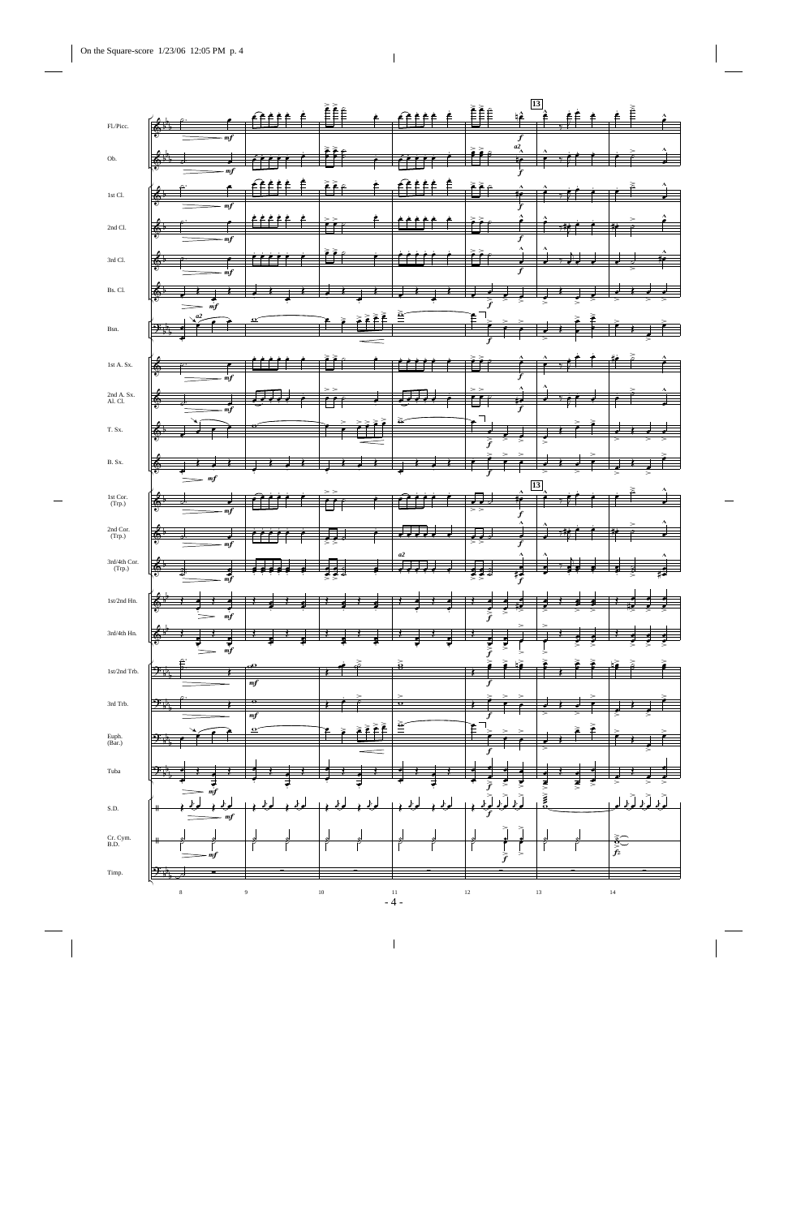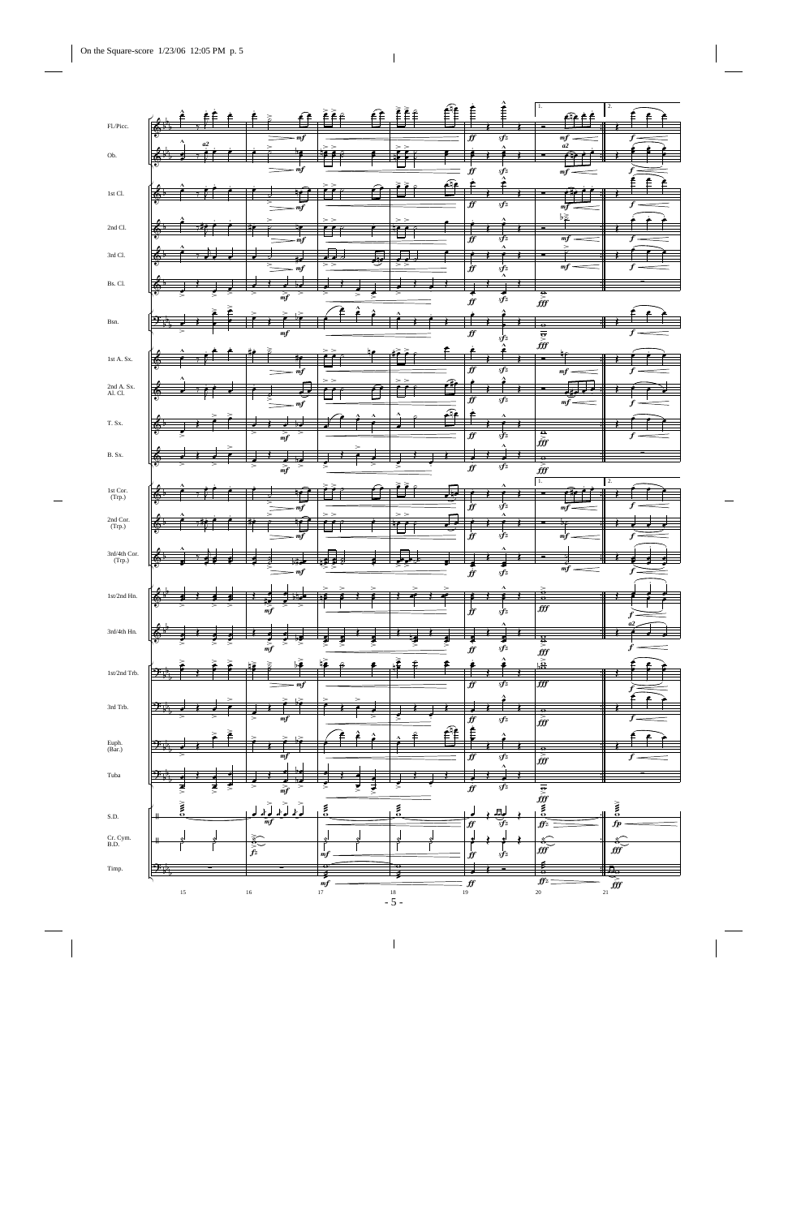|                                                              |                             |        |                                    |                                                  |                                    |                      |                   | É                        | Ē                                   | É                                    | 1.                                                                                                                                                                                                                                                                                                                                                                                                                                                                  | م مالم                   | 2.                                                 |                  |
|--------------------------------------------------------------|-----------------------------|--------|------------------------------------|--------------------------------------------------|------------------------------------|----------------------|-------------------|--------------------------|-------------------------------------|--------------------------------------|---------------------------------------------------------------------------------------------------------------------------------------------------------------------------------------------------------------------------------------------------------------------------------------------------------------------------------------------------------------------------------------------------------------------------------------------------------------------|--------------------------|----------------------------------------------------|------------------|
| Fl./Picc.                                                    | ٠                           |        |                                    | m f                                              |                                    |                      |                   |                          | $\overline{\boldsymbol{f\!f}}$      | sfz                                  |                                                                                                                                                                                                                                                                                                                                                                                                                                                                     | $\it mf$                 |                                                    | $\boldsymbol{f}$ |
| Ob.                                                          |                             | a2     |                                    |                                                  | $\geq$                             |                      | ><br>$\geq$<br>F. |                          |                                     |                                      |                                                                                                                                                                                                                                                                                                                                                                                                                                                                     | a2<br>$\hat{\mathbf{r}}$ |                                                    |                  |
|                                                              |                             |        |                                    | mf                                               |                                    |                      |                   |                          | $\dot{f}$                           | sfz                                  |                                                                                                                                                                                                                                                                                                                                                                                                                                                                     | mf                       |                                                    |                  |
| 1st Cl.                                                      |                             |        |                                    |                                                  |                                    |                      |                   |                          | ₽                                   |                                      |                                                                                                                                                                                                                                                                                                                                                                                                                                                                     |                          |                                                    |                  |
|                                                              |                             |        |                                    | $\it mf$                                         | $>$ $>$                            |                      | $>$ $>$           |                          | $\overline{f}$                      | sfz                                  |                                                                                                                                                                                                                                                                                                                                                                                                                                                                     | mf<br>$b\geqslant$       |                                                    |                  |
| 2nd Cl.                                                      |                             |        |                                    | m f                                              |                                    |                      | ₽                 |                          | f f                                 | sfz                                  |                                                                                                                                                                                                                                                                                                                                                                                                                                                                     | m f                      |                                                    | f                |
| 3rd Cl.                                                      |                             |        |                                    |                                                  |                                    | h                    |                   |                          |                                     | $\boldsymbol{\wedge}$                |                                                                                                                                                                                                                                                                                                                                                                                                                                                                     |                          |                                                    |                  |
|                                                              |                             |        |                                    | mf                                               |                                    |                      |                   |                          | $\dot{f}$                           | sfz<br>Λ                             |                                                                                                                                                                                                                                                                                                                                                                                                                                                                     | m f                      |                                                    |                  |
| Bs. Cl.                                                      |                             |        | >                                  | 70<br>$\frac{1}{m}$<br>⋝                         |                                    | ے                    | >                 |                          | $\overline{f}$                      | ∙<br>$s\bar{f}z$                     | $\frac{1}{\pi}$                                                                                                                                                                                                                                                                                                                                                                                                                                                     |                          |                                                    |                  |
| Bsn.                                                         | $\mathbf{\Theta}$ i         |        |                                    |                                                  |                                    |                      |                   |                          |                                     |                                      |                                                                                                                                                                                                                                                                                                                                                                                                                                                                     |                          |                                                    |                  |
|                                                              |                             |        |                                    | m f                                              |                                    |                      |                   |                          | $\overline{f}$                      | sfz                                  | $\frac{\overline{\sigma}}{\overline{\hat{y}}}$                                                                                                                                                                                                                                                                                                                                                                                                                      |                          |                                                    |                  |
| 1st A. Sx.                                                   |                             |        |                                    |                                                  |                                    |                      |                   |                          |                                     |                                      |                                                                                                                                                                                                                                                                                                                                                                                                                                                                     |                          |                                                    |                  |
|                                                              |                             |        |                                    | m f                                              | $\geq$                             |                      | $>$ $>$           |                          | $\overline{\boldsymbol{f\!f}}$      | sfz<br>$\lambda$                     |                                                                                                                                                                                                                                                                                                                                                                                                                                                                     | mf                       |                                                    |                  |
| $2nd$ A. Sx. Al. Cl. $\,$                                    |                             |        |                                    | mf                                               |                                    |                      |                   | Æ                        | $\overline{\boldsymbol{f\!f}}$      | sfz                                  |                                                                                                                                                                                                                                                                                                                                                                                                                                                                     | mf                       |                                                    |                  |
| T. Sx.                                                       |                             |        |                                    |                                                  |                                    |                      |                   | مآم                      | ₽                                   | z                                    |                                                                                                                                                                                                                                                                                                                                                                                                                                                                     |                          |                                                    |                  |
|                                                              | ⊕                           |        | ⋝                                  | $\overline{ }$<br>$\frac{1}{m}$<br>⋝             |                                    |                      |                   |                          | $\overline{f}$                      | $s\overline{f}z$                     | $\overline{\mathbf{f}^{\mathbf{e}}_{\mathbf{f}^{\mathbf{f}}}}$                                                                                                                                                                                                                                                                                                                                                                                                      |                          |                                                    |                  |
| B. Sx.                                                       |                             |        |                                    | हैं                                              |                                    |                      |                   |                          |                                     | $\boldsymbol{\wedge}$                | $\bullet$                                                                                                                                                                                                                                                                                                                                                                                                                                                           |                          |                                                    |                  |
|                                                              |                             |        |                                    | $\sum_{\substack{p=1\\(p,q)=k}}^{\frac{p-1}{2}}$ |                                    |                      | ⋧<br>≩            |                          | $\overline{\dot{f}f}$               | s f z                                | $\overline{\mathbf{\hat{f}}\mathbf{\hat{f}}\mathbf{\hat{f}}\mathbf{\hat{f}}\mathbf{\hat{f}}\mathbf{\hat{f}}\mathbf{\hat{f}}\mathbf{\hat{f}}\mathbf{\hat{f}}\mathbf{\hat{f}}\mathbf{\hat{f}}\mathbf{\hat{f}}\mathbf{\hat{f}}\mathbf{\hat{f}}\mathbf{\hat{f}}\mathbf{\hat{f}}\mathbf{\hat{f}}\mathbf{\hat{f}}\mathbf{\hat{f}}\mathbf{\hat{f}}\mathbf{\hat{f}}\mathbf{\hat{f}}\mathbf{\hat{f}}\mathbf{\hat{f}}\mathbf{\hat{f}}\mathbf{\hat{f}}\mathbf{\hat{f}}\$<br>1. |                          | 2.                                                 |                  |
| $1st$ Cor. (Trp.)                                            |                             |        |                                    |                                                  |                                    |                      |                   | $\overline{\phantom{a}}$ |                                     | ۸<br>$s\ddot{f}z$                    |                                                                                                                                                                                                                                                                                                                                                                                                                                                                     |                          |                                                    |                  |
| $2nd$ Cor. (Trp.)                                            |                             |        |                                    | m f<br>Þ                                         | $>$ $>$                            |                      | $>$ $>$           | $\overline{\cdot}$       | $\boldsymbol{f}$                    | ۸                                    |                                                                                                                                                                                                                                                                                                                                                                                                                                                                     | m f<br>b.                |                                                    |                  |
|                                                              | $\bigcirc$                  |        |                                    | mf                                               |                                    |                      |                   |                          | $\boldsymbol{f}$                    | $s\!f\!z$                            |                                                                                                                                                                                                                                                                                                                                                                                                                                                                     | mf                       |                                                    |                  |
| $3\mathrm{rd}/4\mathrm{th}$ Cor. (Trp.)                      |                             |        |                                    |                                                  |                                    |                      |                   |                          |                                     |                                      |                                                                                                                                                                                                                                                                                                                                                                                                                                                                     |                          |                                                    |                  |
|                                                              |                             |        |                                    | - mf                                             |                                    |                      |                   |                          | $\check{f}$                         | $s\bar{f}z$                          |                                                                                                                                                                                                                                                                                                                                                                                                                                                                     | m f                      |                                                    |                  |
| $1st/2nd$ Hn.                                                |                             |        | $\frac{1}{m}$                      |                                                  | $\geq$                             | ⇒                    | $\geq$            | $\geq$                   |                                     | ۸                                    | $\frac{5}{\alpha}$                                                                                                                                                                                                                                                                                                                                                                                                                                                  |                          |                                                    |                  |
|                                                              |                             |        |                                    |                                                  |                                    |                      |                   |                          | $\frac{1}{2}$                       | $s\,$                                | $\overline{f\!f\!f}$                                                                                                                                                                                                                                                                                                                                                                                                                                                |                          |                                                    |                  |
| 3rd/4th Hn.                                                  |                             |        | $\frac{1}{m}$                      | 逻<br>$\geq$                                      |                                    |                      | ड़                | $\geq$                   | $\dot{f}$                           |                                      |                                                                                                                                                                                                                                                                                                                                                                                                                                                                     |                          |                                                    |                  |
|                                                              |                             |        | ੋ                                  |                                                  |                                    |                      | Ê                 |                          |                                     | $s\!f\!z$<br>٨                       |                                                                                                                                                                                                                                                                                                                                                                                                                                                                     |                          |                                                    |                  |
| $1\mathrm{st}/2\mathrm{nd}$ Trb.                             |                             |        |                                    | mf                                               |                                    |                      |                   |                          | $\overline{f}$                      | $\overline{\mathit{sfz}}$            | $\overline{f\!f\!f}$                                                                                                                                                                                                                                                                                                                                                                                                                                                |                          |                                                    |                  |
| $3\mathrm{rd}$ Trb.                                          |                             |        |                                    | ∣ >                                              |                                    |                      |                   |                          |                                     | $\boldsymbol{\wedge}$                |                                                                                                                                                                                                                                                                                                                                                                                                                                                                     |                          |                                                    |                  |
|                                                              |                             |        |                                    | m f                                              |                                    |                      |                   |                          | $\frac{f}{f}$                       | $s\!f\!z$                            | $\frac{\partial}{\partial \vec{r}}$                                                                                                                                                                                                                                                                                                                                                                                                                                 |                          |                                                    |                  |
| $\begin{array}{c} \text{Euph.} \\ \text{(Bar.)} \end{array}$ |                             | ≧      |                                    | $\frac{1}{2}$                                    |                                    |                      | £                 | ff                       |                                     | ٨                                    | $\bullet$                                                                                                                                                                                                                                                                                                                                                                                                                                                           |                          |                                                    |                  |
|                                                              |                             |        |                                    | $\overline{mf}$                                  |                                    |                      |                   |                          | $\overline{f}$                      | $\sqrt{s}f$<br>$\boldsymbol{\wedge}$ | $\overline{\mathbf{\hat{f}}\mathbf{\hat{f}}\mathbf{\hat{f}}\mathbf{\hat{f}}}$                                                                                                                                                                                                                                                                                                                                                                                       |                          |                                                    | f                |
| ${\bf T}$ uba                                                |                             | ₹<br>₹ |                                    | DØ<br>$\tilde{\tilde{\xi}}$<br>$\sum_{m\!f}$     | ⇒                                  | $\overline{\bullet}$ | $\mathbf{r}$      |                          | $\overline{\dot{f}f}$               | s f z                                |                                                                                                                                                                                                                                                                                                                                                                                                                                                                     |                          |                                                    |                  |
|                                                              | $\geq$                      |        | رُك                                | $\mathcal{F}$<br>$\mathbb{\star}$ .              | á                                  |                      | $\tilde{a}$       |                          |                                     |                                      | $\frac{1}{\sigma}$ $\frac{1}{\sigma}$ $\frac{1}{\sigma}$                                                                                                                                                                                                                                                                                                                                                                                                            |                          | <b>Van</b>                                         |                  |
| S.D.                                                         |                             |        | $\mathbf{m}$ f                     |                                                  |                                    |                      |                   |                          | $\bm{f}$                            | $\frac{1}{\sqrt[3]{x}}$              | $\int f\overline{z}$                                                                                                                                                                                                                                                                                                                                                                                                                                                |                          | $\boldsymbol{fp}$                                  |                  |
| Cr. Cym.<br>B.D.                                             |                             |        | $\sum_{\substack{z \to 0 \\ f_z}}$ |                                                  |                                    |                      |                   |                          |                                     |                                      | $\frac{1}{6}$<br><b>fff</b>                                                                                                                                                                                                                                                                                                                                                                                                                                         |                          | $\overbrace{\mathit{ff}}^{\mathcal{S}\rightarrow}$ |                  |
| Timp.                                                        | $\mathfrak{P}_{\mathbb{R}}$ |        |                                    |                                                  | $_{mf}$                            |                      | $\frac{1}{2}$     |                          | $f\hspace{-0.1cm}f\hspace{-0.1cm}f$ | s f z                                | $\frac{2}{\sigma}$                                                                                                                                                                                                                                                                                                                                                                                                                                                  |                          |                                                    |                  |
|                                                              | $15\,$                      |        |                                    |                                                  | $\frac{1}{\frac{2}{m}f}$<br>$17\,$ |                      |                   |                          | $f\hspace{-0.1cm}f$<br>$19\,$       |                                      | $\mathbf{f} \mathbf{f} z$<br>$20\,$                                                                                                                                                                                                                                                                                                                                                                                                                                 |                          | $\frac{1}{\frac{1}{f}}$<br>$21\,$                  |                  |
|                                                              |                             |        | $16\,$                             |                                                  |                                    |                      | $-5 -$            |                          |                                     |                                      |                                                                                                                                                                                                                                                                                                                                                                                                                                                                     |                          |                                                    |                  |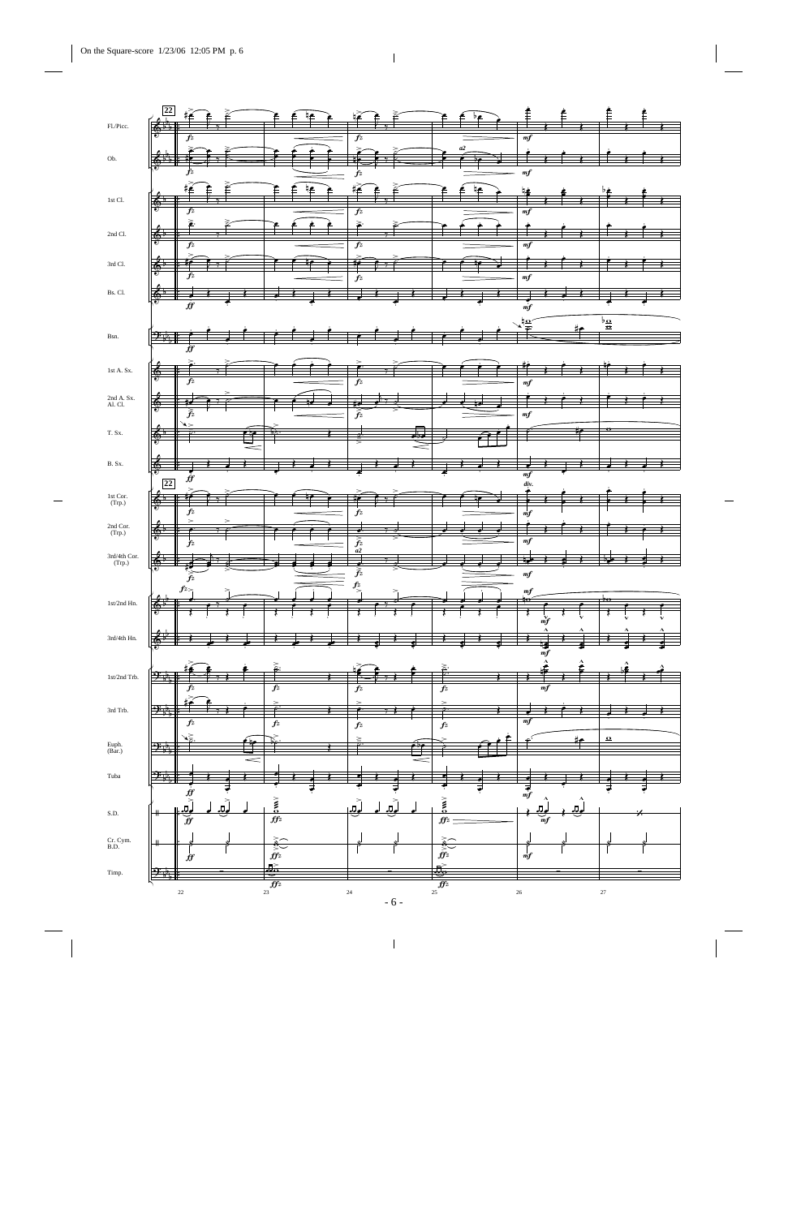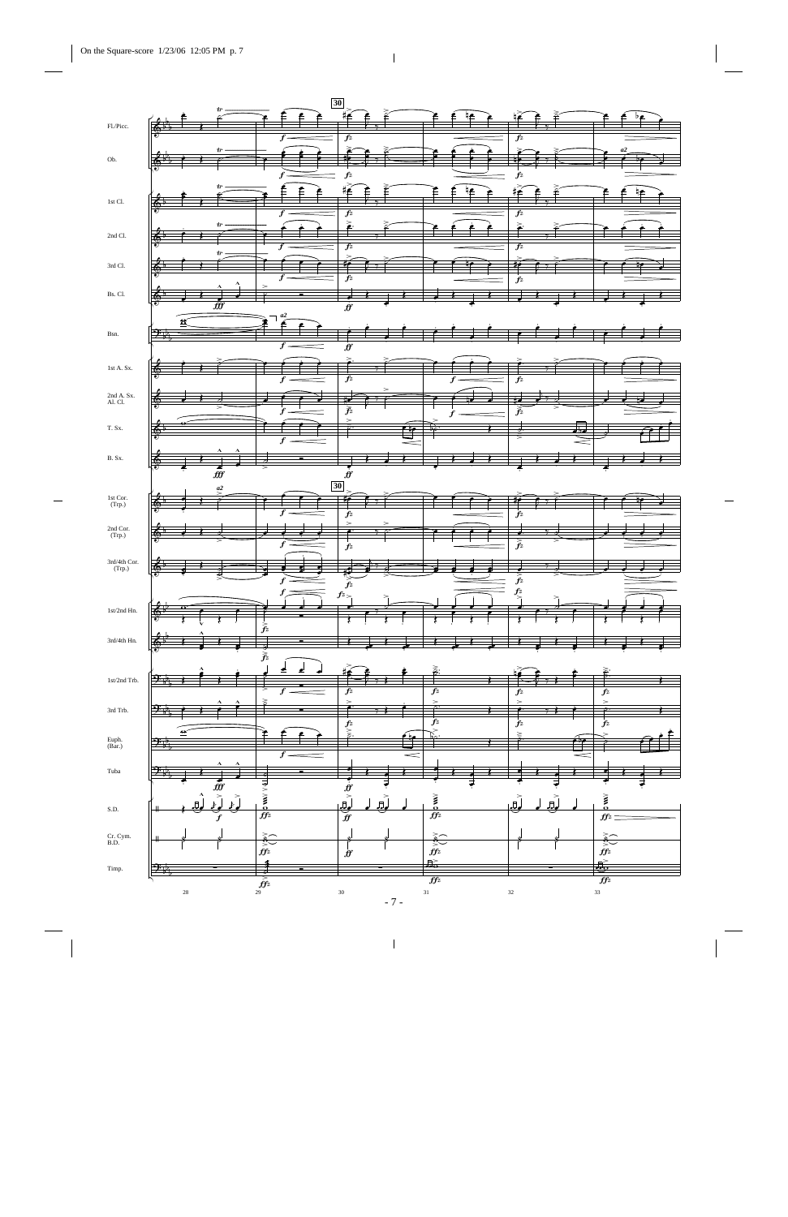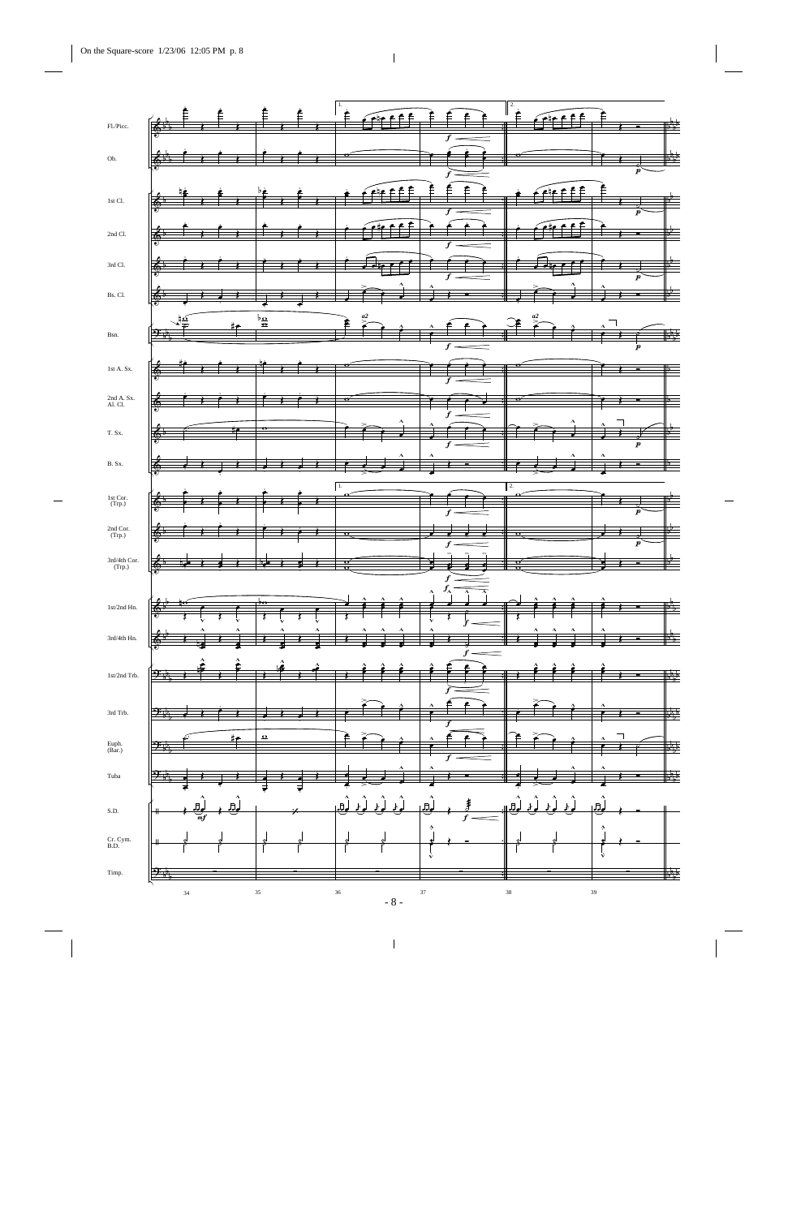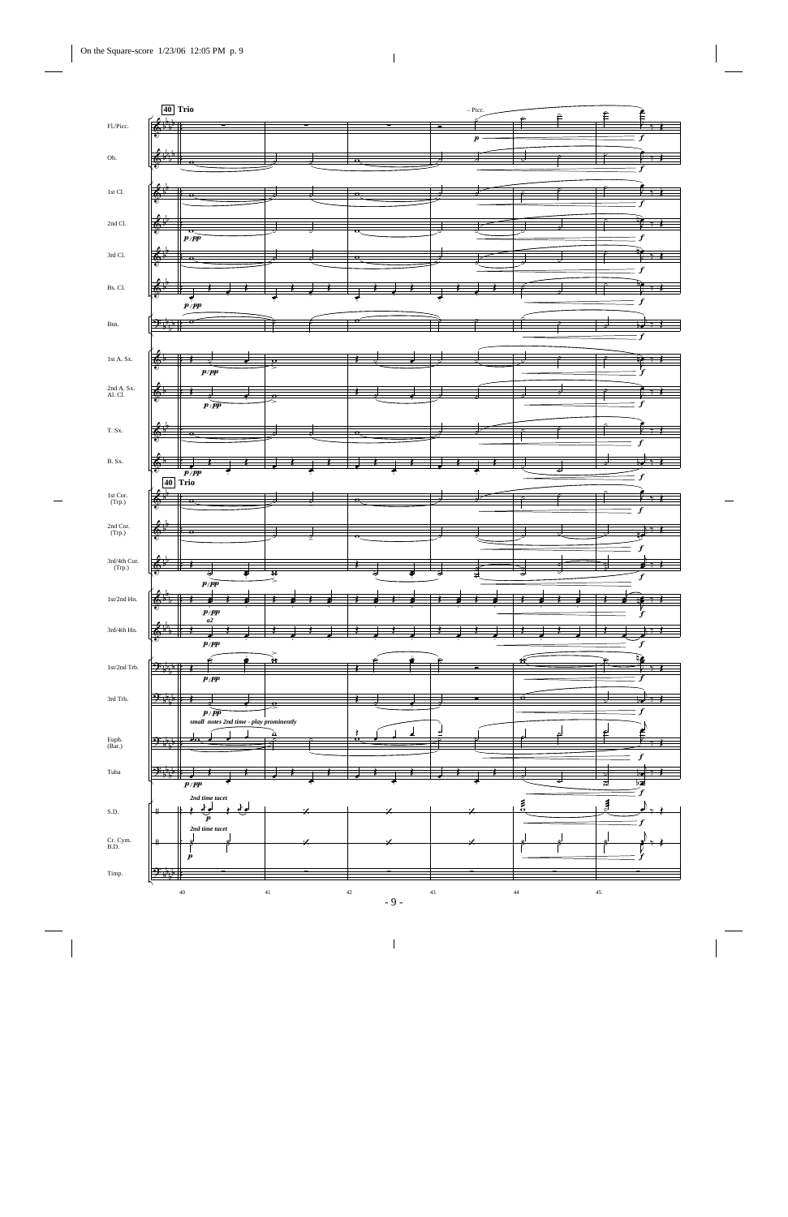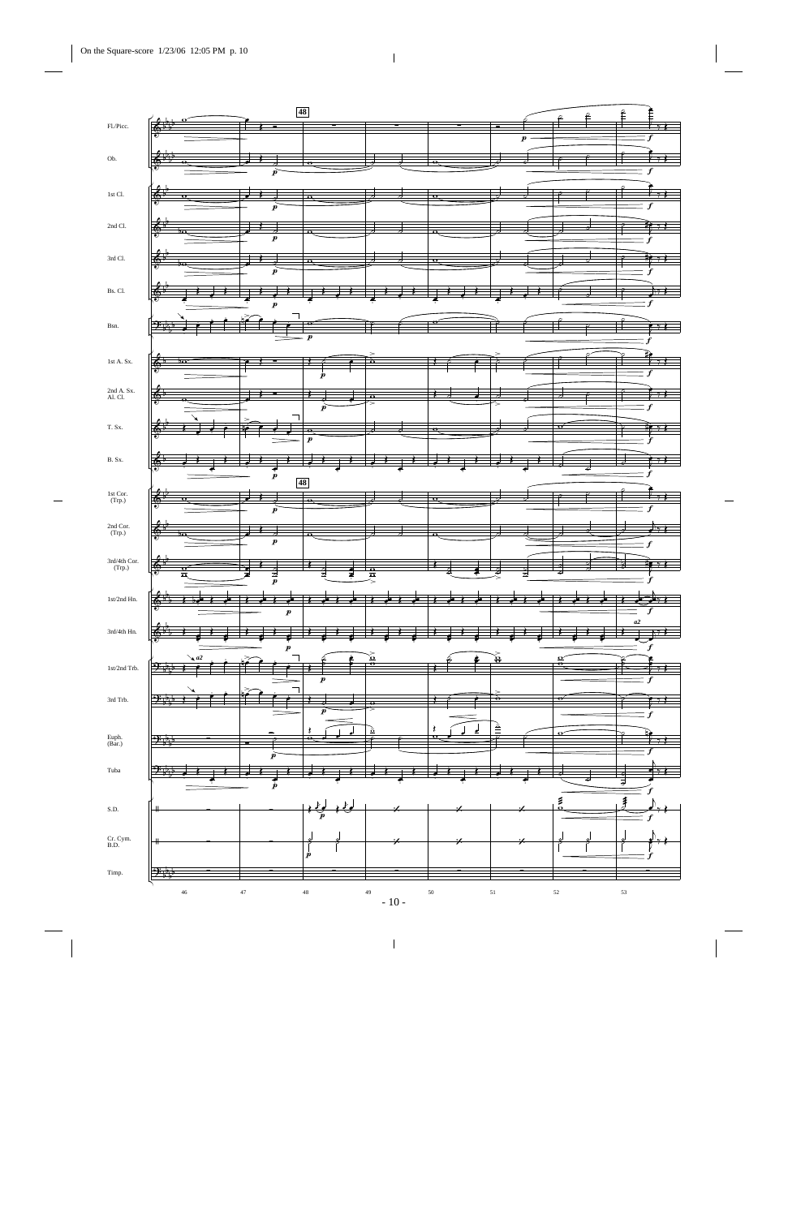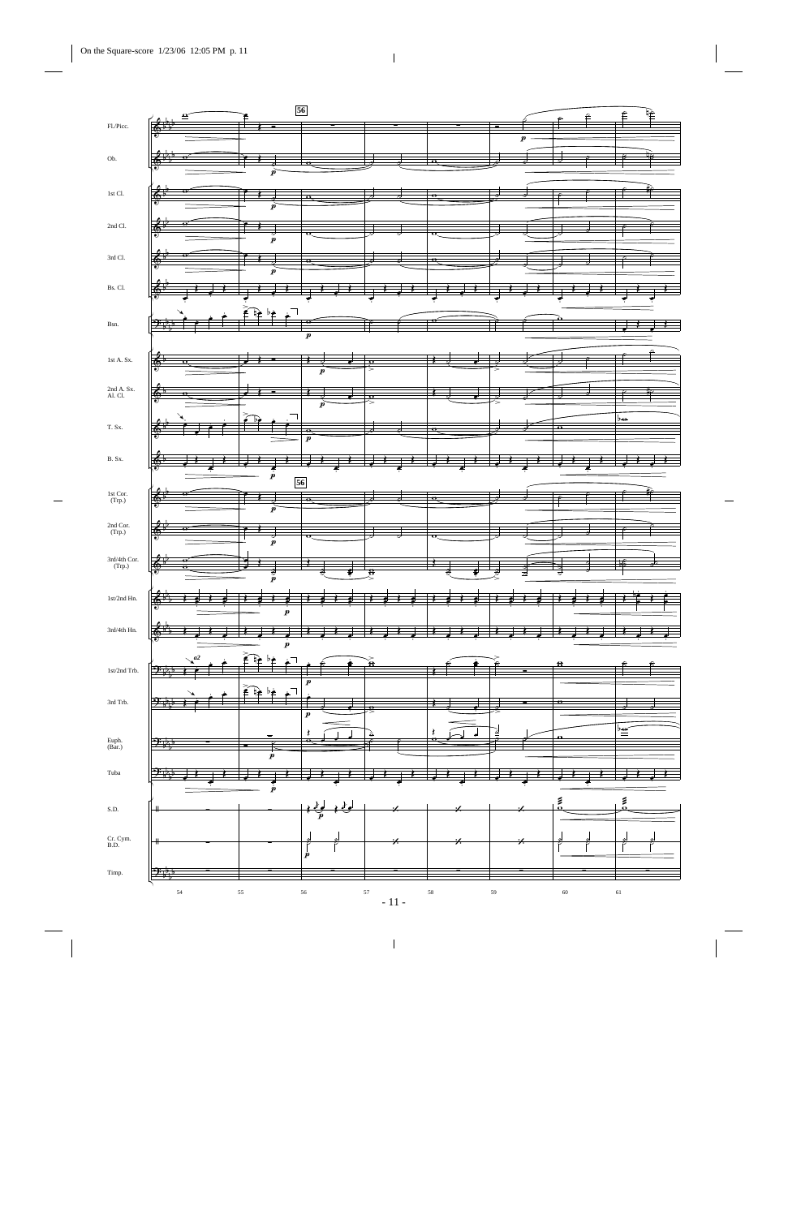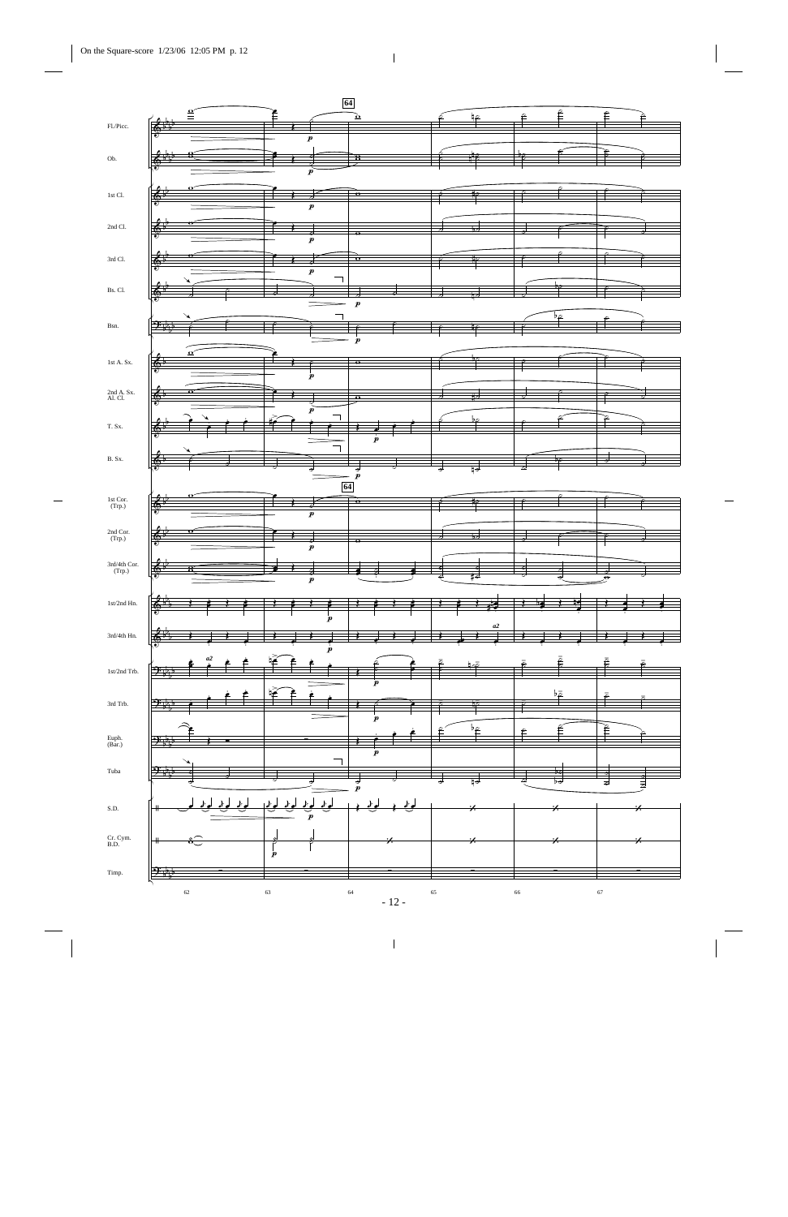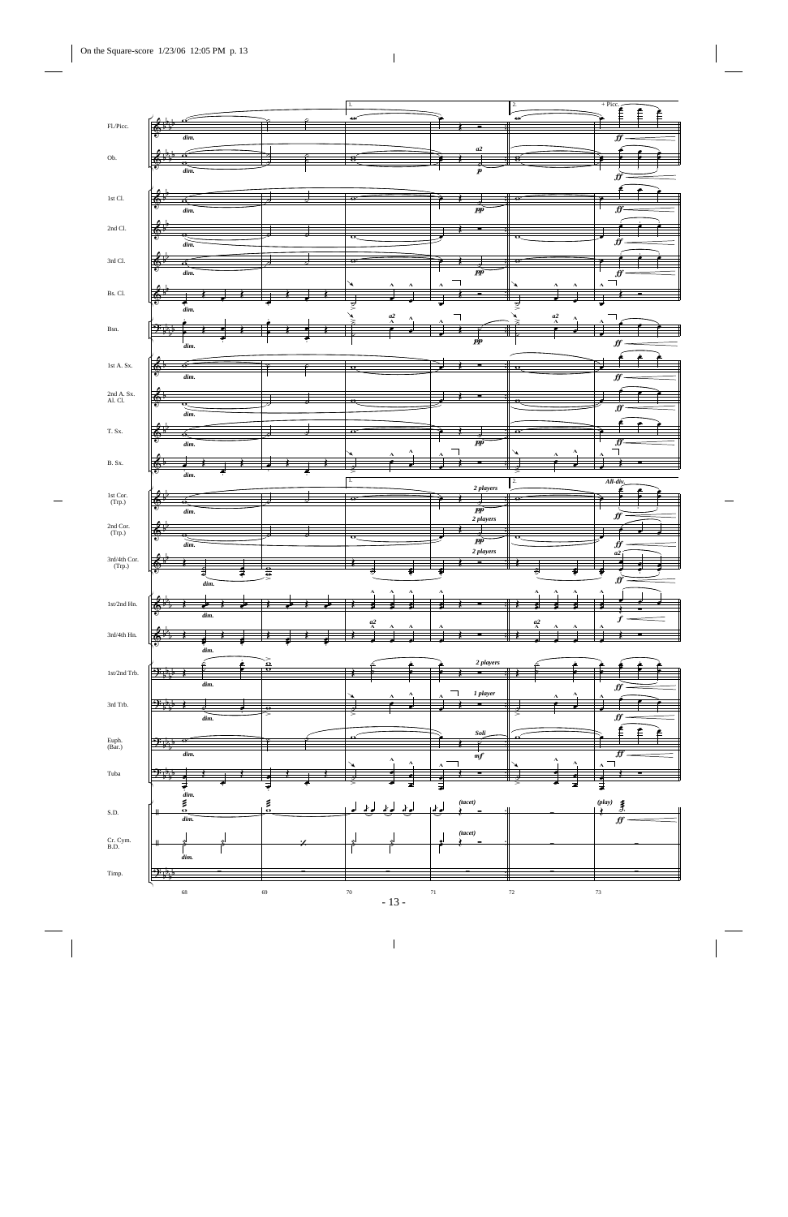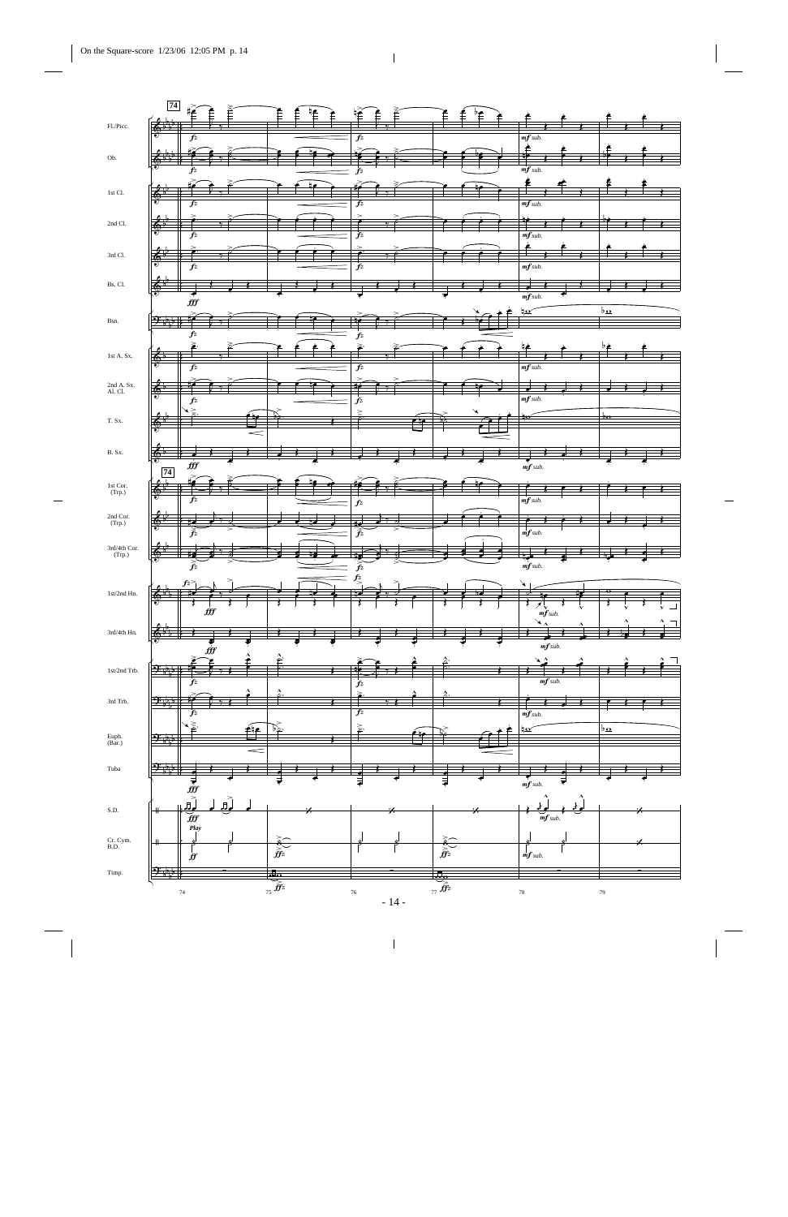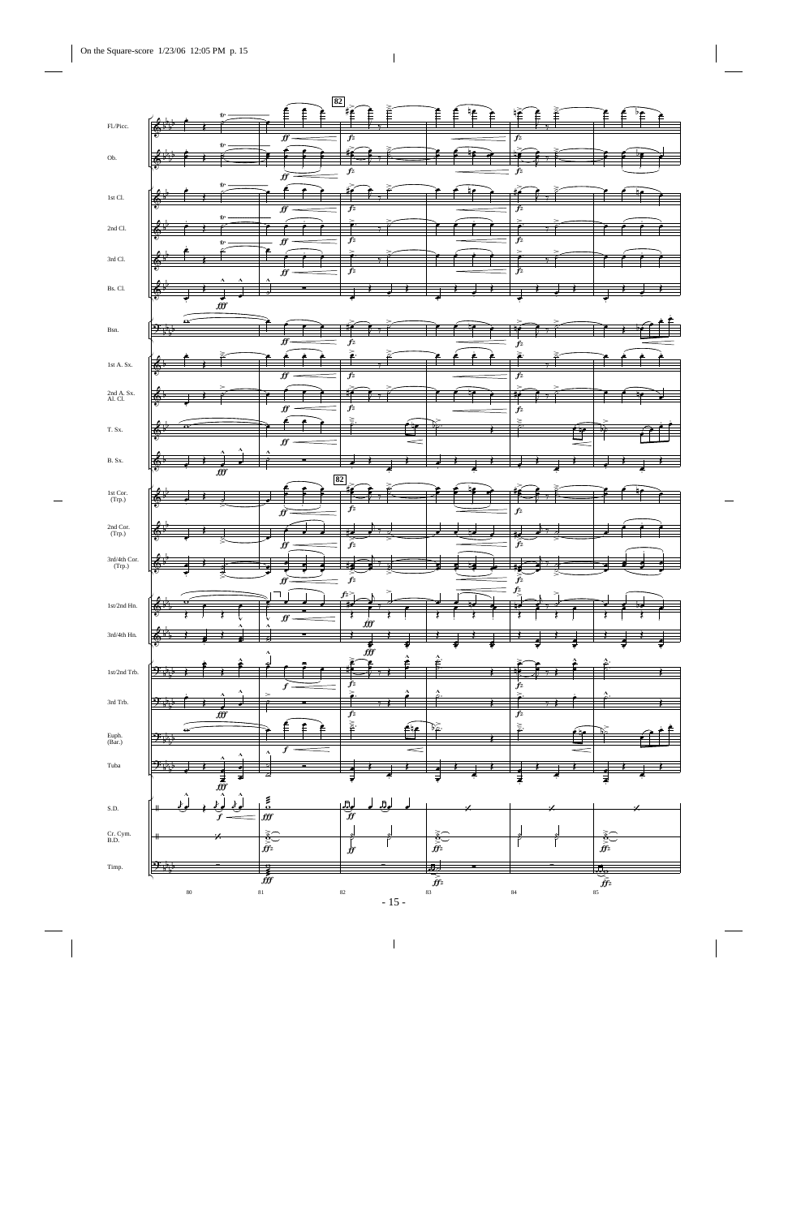